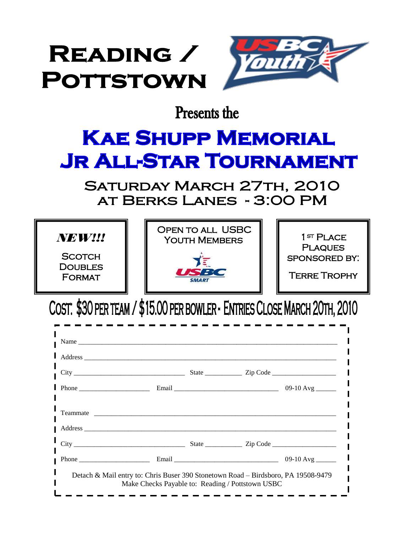

**Presents the** 

## **KAE SHUPP MEMORIAL JR ALL-STAR TOURNAMENT**

SATURDAY MARCH 27TH, 2010 AT BERKS LANES - 3:00 PM



COST: \$30 PER TEAM / \$15.00 PER BOWLER - ENTRIES CLOSE MARCH 20TH, 2010

| $\n  Phone \n  ز \n  Phone \n  $ |                                                                                   |  | 09-10 Avg _______ |
|----------------------------------|-----------------------------------------------------------------------------------|--|-------------------|
|                                  |                                                                                   |  |                   |
|                                  |                                                                                   |  |                   |
|                                  |                                                                                   |  |                   |
|                                  |                                                                                   |  |                   |
|                                  |                                                                                   |  |                   |
|                                  | Detach & Mail entry to: Chris Buser 390 Stonetown Road – Birdsboro, PA 19508-9479 |  |                   |
|                                  | Make Checks Payable to: Reading / Pottstown USBC                                  |  |                   |